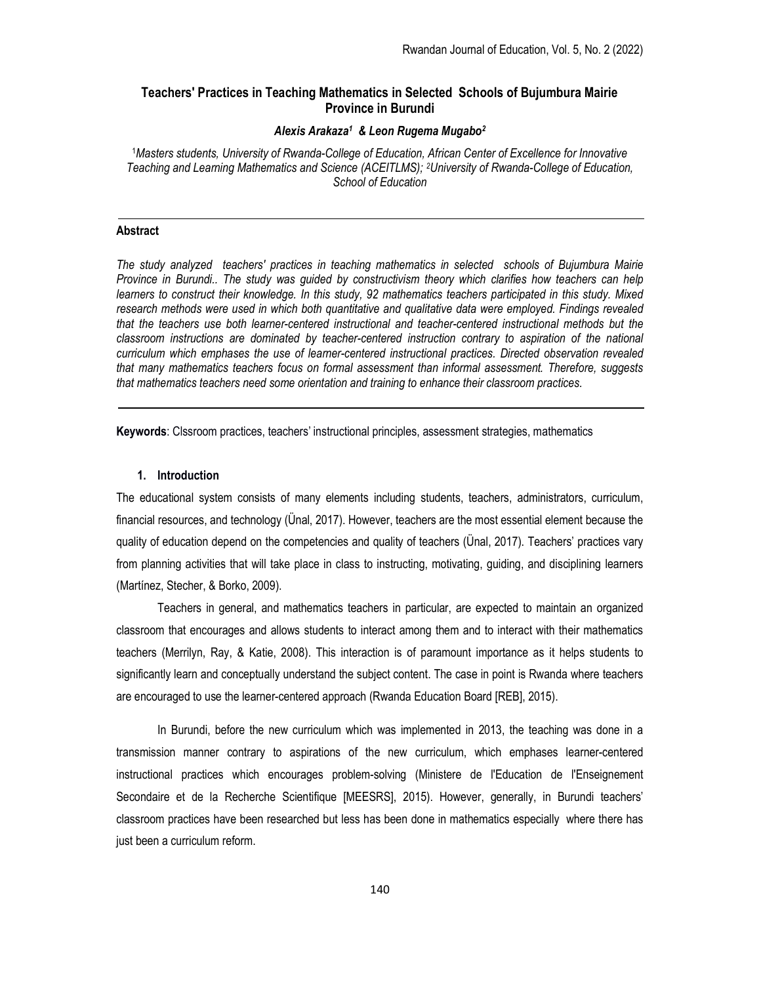## Teachers' Practices in Teaching Mathematics in Selected Schools of Bujumbura Mairie Province in Burundi

## Alexis Arakaza<sup>1</sup> & Leon Rugema Mugabo<sup>2</sup>

<sup>1</sup>Masters students, University of Rwanda-College of Education, African Center of Excellence for Innovative Teaching and Learning Mathematics and Science (ACEITLMS); 2University of Rwanda-College of Education, School of Education

## Abstract

The study analyzed teachers' practices in teaching mathematics in selected schools of Bujumbura Mairie Province in Burundi.. The study was guided by constructivism theory which clarifies how teachers can help learners to construct their knowledge. In this study, 92 mathematics teachers participated in this study. Mixed research methods were used in which both quantitative and qualitative data were employed. Findings revealed that the teachers use both learner-centered instructional and teacher-centered instructional methods but the classroom instructions are dominated by teacher-centered instruction contrary to aspiration of the national curriculum which emphases the use of learner-centered instructional practices. Directed observation revealed that many mathematics teachers focus on formal assessment than informal assessment. Therefore, suggests that mathematics teachers need some orientation and training to enhance their classroom practices.

Keywords: Clssroom practices, teachers' instructional principles, assessment strategies, mathematics

## 1. Introduction

The educational system consists of many elements including students, teachers, administrators, curriculum, financial resources, and technology (Ünal, 2017). However, teachers are the most essential element because the quality of education depend on the competencies and quality of teachers (Ünal, 2017). Teachers' practices vary from planning activities that will take place in class to instructing, motivating, guiding, and disciplining learners (Martínez, Stecher, & Borko, 2009).

Teachers in general, and mathematics teachers in particular, are expected to maintain an organized classroom that encourages and allows students to interact among them and to interact with their mathematics teachers (Merrilyn, Ray, & Katie, 2008). This interaction is of paramount importance as it helps students to significantly learn and conceptually understand the subject content. The case in point is Rwanda where teachers are encouraged to use the learner-centered approach (Rwanda Education Board [REB], 2015).

In Burundi, before the new curriculum which was implemented in 2013, the teaching was done in a transmission manner contrary to aspirations of the new curriculum, which emphases learner-centered instructional practices which encourages problem-solving (Ministere de l'Education de l'Enseignement Secondaire et de la Recherche Scientifique [MEESRS], 2015). However, generally, in Burundi teachers' classroom practices have been researched but less has been done in mathematics especially where there has just been a curriculum reform.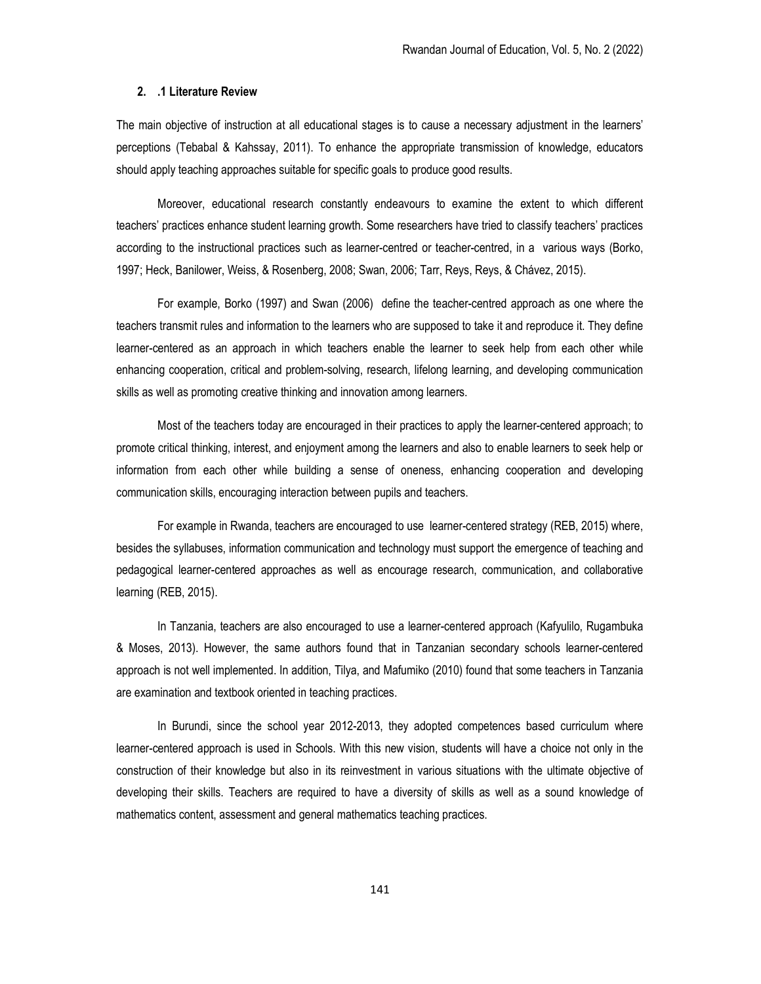## 2. .1 Literature Review

The main objective of instruction at all educational stages is to cause a necessary adjustment in the learners' perceptions (Tebabal & Kahssay, 2011). To enhance the appropriate transmission of knowledge, educators should apply teaching approaches suitable for specific goals to produce good results.

Moreover, educational research constantly endeavours to examine the extent to which different teachers' practices enhance student learning growth. Some researchers have tried to classify teachers' practices according to the instructional practices such as learner-centred or teacher-centred, in a various ways (Borko, 1997; Heck, Banilower, Weiss, & Rosenberg, 2008; Swan, 2006; Tarr, Reys, Reys, & Chávez, 2015).

For example, Borko (1997) and Swan (2006) define the teacher-centred approach as one where the teachers transmit rules and information to the learners who are supposed to take it and reproduce it. They define learner-centered as an approach in which teachers enable the learner to seek help from each other while enhancing cooperation, critical and problem-solving, research, lifelong learning, and developing communication skills as well as promoting creative thinking and innovation among learners.

Most of the teachers today are encouraged in their practices to apply the learner-centered approach; to promote critical thinking, interest, and enjoyment among the learners and also to enable learners to seek help or information from each other while building a sense of oneness, enhancing cooperation and developing communication skills, encouraging interaction between pupils and teachers.

For example in Rwanda, teachers are encouraged to use learner-centered strategy (REB, 2015) where, besides the syllabuses, information communication and technology must support the emergence of teaching and pedagogical learner-centered approaches as well as encourage research, communication, and collaborative learning (REB, 2015).

In Tanzania, teachers are also encouraged to use a learner-centered approach (Kafyulilo, Rugambuka & Moses, 2013). However, the same authors found that in Tanzanian secondary schools learner-centered approach is not well implemented. In addition, Tilya, and Mafumiko (2010) found that some teachers in Tanzania are examination and textbook oriented in teaching practices.

In Burundi, since the school year 2012-2013, they adopted competences based curriculum where learner-centered approach is used in Schools. With this new vision, students will have a choice not only in the construction of their knowledge but also in its reinvestment in various situations with the ultimate objective of developing their skills. Teachers are required to have a diversity of skills as well as a sound knowledge of mathematics content, assessment and general mathematics teaching practices.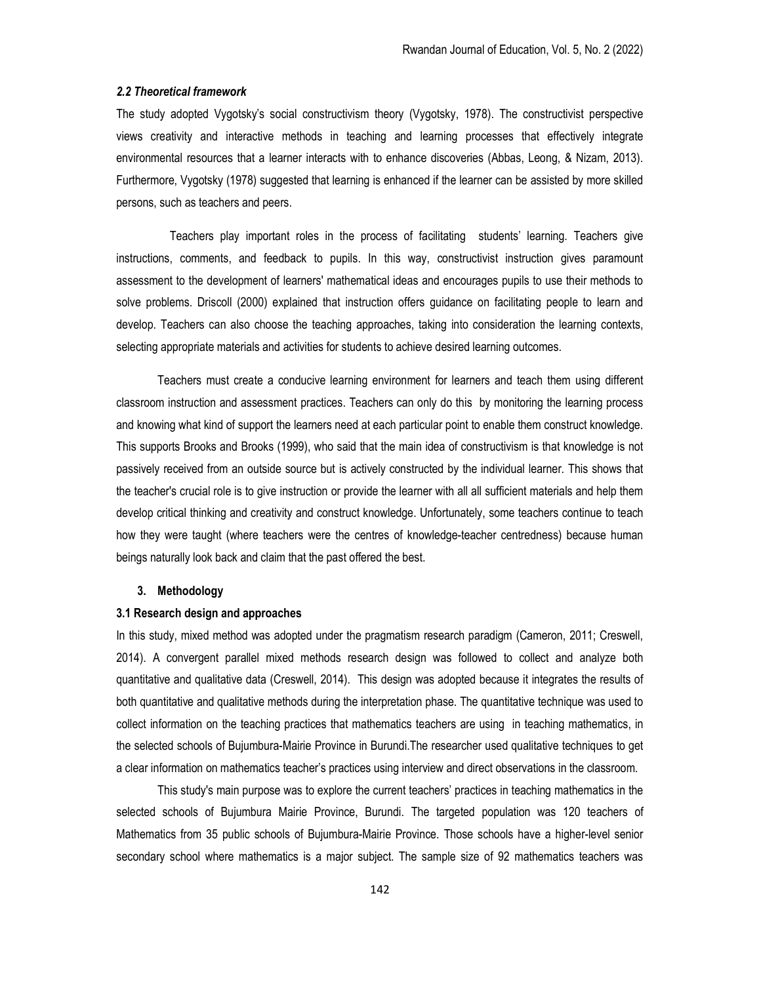#### 2.2 Theoretical framework

The study adopted Vygotsky's social constructivism theory (Vygotsky, 1978). The constructivist perspective views creativity and interactive methods in teaching and learning processes that effectively integrate environmental resources that a learner interacts with to enhance discoveries (Abbas, Leong, & Nizam, 2013). Furthermore, Vygotsky (1978) suggested that learning is enhanced if the learner can be assisted by more skilled persons, such as teachers and peers.

 Teachers play important roles in the process of facilitating students' learning. Teachers give instructions, comments, and feedback to pupils. In this way, constructivist instruction gives paramount assessment to the development of learners' mathematical ideas and encourages pupils to use their methods to solve problems. Driscoll (2000) explained that instruction offers guidance on facilitating people to learn and develop. Teachers can also choose the teaching approaches, taking into consideration the learning contexts, selecting appropriate materials and activities for students to achieve desired learning outcomes.

Teachers must create a conducive learning environment for learners and teach them using different classroom instruction and assessment practices. Teachers can only do this by monitoring the learning process and knowing what kind of support the learners need at each particular point to enable them construct knowledge. This supports Brooks and Brooks (1999), who said that the main idea of constructivism is that knowledge is not passively received from an outside source but is actively constructed by the individual learner. This shows that the teacher's crucial role is to give instruction or provide the learner with all all sufficient materials and help them develop critical thinking and creativity and construct knowledge. Unfortunately, some teachers continue to teach how they were taught (where teachers were the centres of knowledge-teacher centredness) because human beings naturally look back and claim that the past offered the best.

## 3. Methodology

## 3.1 Research design and approaches

In this study, mixed method was adopted under the pragmatism research paradigm (Cameron, 2011; Creswell, 2014). A convergent parallel mixed methods research design was followed to collect and analyze both quantitative and qualitative data (Creswell, 2014). This design was adopted because it integrates the results of both quantitative and qualitative methods during the interpretation phase. The quantitative technique was used to collect information on the teaching practices that mathematics teachers are using in teaching mathematics, in the selected schools of Bujumbura-Mairie Province in Burundi.The researcher used qualitative techniques to get a clear information on mathematics teacher's practices using interview and direct observations in the classroom.

This study's main purpose was to explore the current teachers' practices in teaching mathematics in the selected schools of Bujumbura Mairie Province, Burundi. The targeted population was 120 teachers of Mathematics from 35 public schools of Bujumbura-Mairie Province. Those schools have a higher-level senior secondary school where mathematics is a major subject. The sample size of 92 mathematics teachers was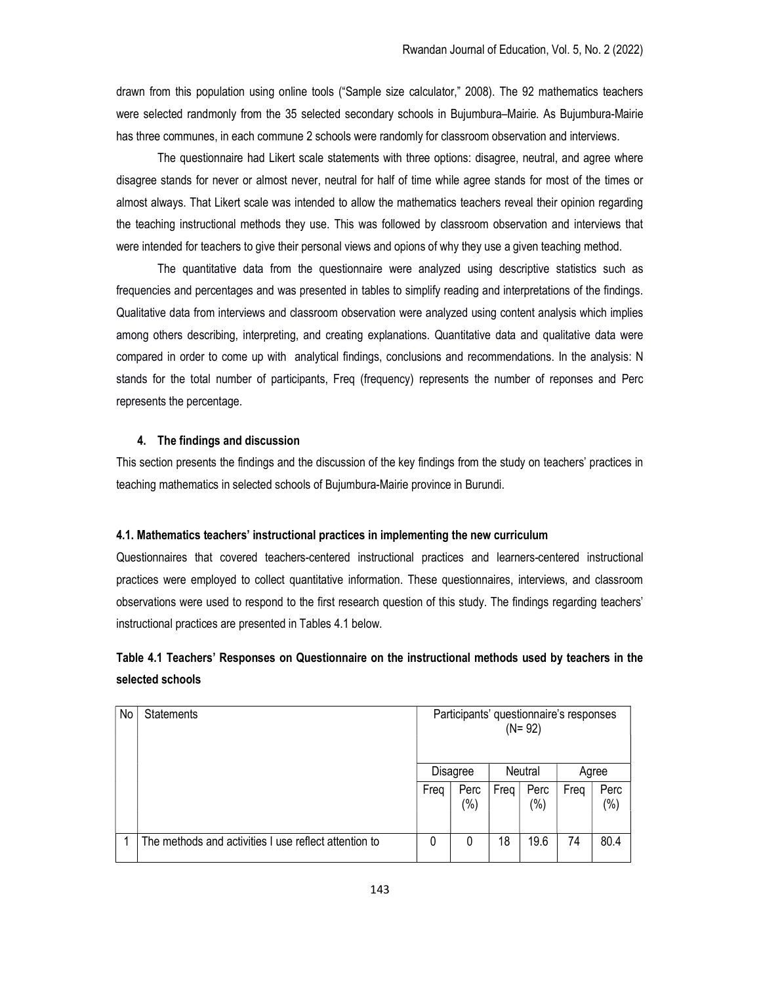drawn from this population using online tools ("Sample size calculator," 2008). The 92 mathematics teachers were selected randmonly from the 35 selected secondary schools in Bujumbura–Mairie. As Bujumbura-Mairie has three communes, in each commune 2 schools were randomly for classroom observation and interviews.

The questionnaire had Likert scale statements with three options: disagree, neutral, and agree where disagree stands for never or almost never, neutral for half of time while agree stands for most of the times or almost always. That Likert scale was intended to allow the mathematics teachers reveal their opinion regarding the teaching instructional methods they use. This was followed by classroom observation and interviews that were intended for teachers to give their personal views and opions of why they use a given teaching method.

The quantitative data from the questionnaire were analyzed using descriptive statistics such as frequencies and percentages and was presented in tables to simplify reading and interpretations of the findings. Qualitative data from interviews and classroom observation were analyzed using content analysis which implies among others describing, interpreting, and creating explanations. Quantitative data and qualitative data were compared in order to come up with analytical findings, conclusions and recommendations. In the analysis: N stands for the total number of participants, Freq (frequency) represents the number of reponses and Perc represents the percentage.

## 4. The findings and discussion

This section presents the findings and the discussion of the key findings from the study on teachers' practices in teaching mathematics in selected schools of Bujumbura-Mairie province in Burundi.

## 4.1. Mathematics teachers' instructional practices in implementing the new curriculum

Questionnaires that covered teachers-centered instructional practices and learners-centered instructional practices were employed to collect quantitative information. These questionnaires, interviews, and classroom observations were used to respond to the first research question of this study. The findings regarding teachers' instructional practices are presented in Tables 4.1 below.

# Table 4.1 Teachers' Responses on Questionnaire on the instructional methods used by teachers in the selected schools

| No | <b>Statements</b>                                     | Participants' questionnaire's responses<br>$(N = 92)$ |                 |         |                 |       |                |  |
|----|-------------------------------------------------------|-------------------------------------------------------|-----------------|---------|-----------------|-------|----------------|--|
|    |                                                       |                                                       | <b>Disagree</b> | Neutral |                 | Agree |                |  |
|    |                                                       | Freq                                                  | Perc<br>(%)     | Freq    | Perc<br>$(\% )$ | Freq  | Perc<br>$(\%)$ |  |
|    | The methods and activities I use reflect attention to | 0                                                     | 0               | 18      | 19.6            | 74    | 80.4           |  |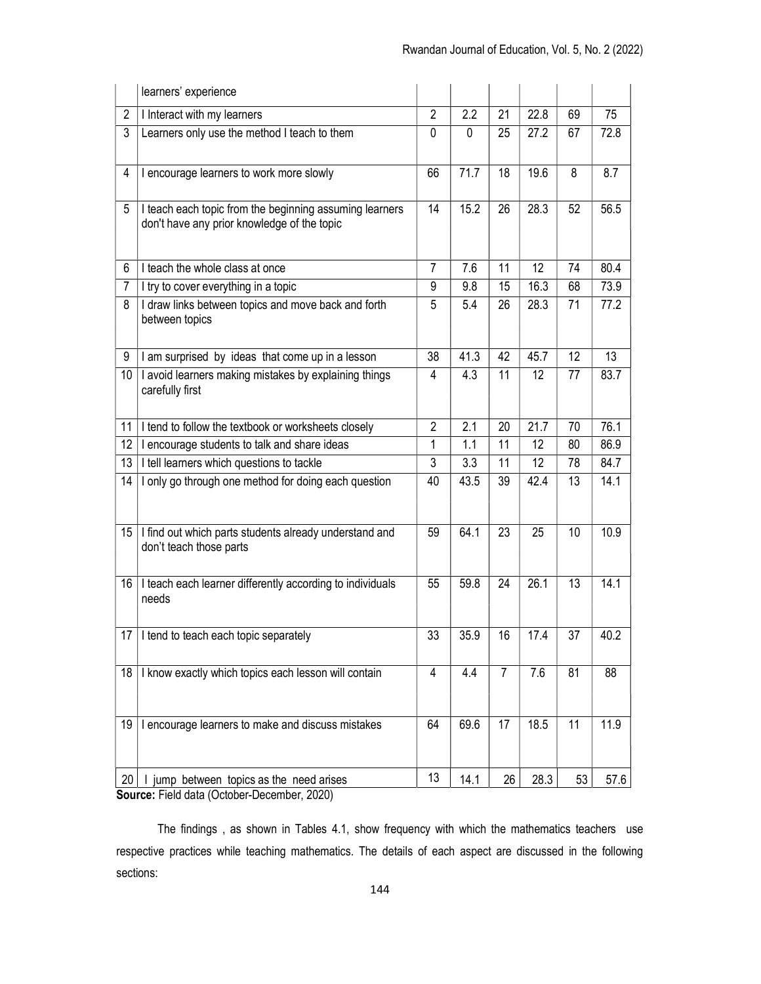| $\overline{2}$<br>$\overline{2}$<br>2.2<br>21<br>22.8<br>69<br>I Interact with my learners<br>75<br>3<br>Learners only use the method I teach to them<br>$\mathbf 0$<br>27.2<br>67<br>72.8<br>0<br>25<br>71.7<br>19.6<br>8<br>8.7<br>4<br>I encourage learners to work more slowly<br>66<br>18<br>15.2<br>26<br>28.3<br>52<br>56.5<br>5<br>I teach each topic from the beginning assuming learners<br>14<br>don't have any prior knowledge of the topic<br>$\overline{7}$<br>11<br>12<br>74<br>80.4<br>I teach the whole class at once<br>7.6<br>6<br>73.9<br>9.8<br>15<br>16.3<br>68<br>7<br>I try to cover everything in a topic<br>9<br>8<br>I draw links between topics and move back and forth<br>5.4<br>28.3<br>77.2<br>5<br>71<br>26<br>between topics<br>9<br>41.3<br>42<br>45.7<br>12<br>13<br>38<br>I am surprised by ideas that come up in a lesson<br>10<br>4.3<br>11<br>12 <sup>2</sup><br>83.7<br>I avoid learners making mistakes by explaining things<br>4<br>77<br>carefully first<br>$\overline{2}$<br>I tend to follow the textbook or worksheets closely<br>2.1<br>21.7<br>76.1<br>11<br>20<br>70<br>12<br>1<br>1.1<br>11<br>12<br>86.9<br>encourage students to talk and share ideas<br>80<br>3<br>13<br>I tell learners which questions to tackle<br>3.3<br>11<br>12<br>84.7<br>78<br>I only go through one method for doing each question<br>14.1<br>43.5<br>39<br>42.4<br>13<br>14<br>40<br>I find out which parts students already understand and<br>10.9<br>64.1<br>23<br>25<br>10<br>15<br>59<br>don't teach those parts<br>I teach each learner differently according to individuals<br>24<br>26.1<br>13<br>14.1<br>16<br>55<br>59.8<br>needs<br>17   I tend to teach each topic separately<br>33<br>35.9<br>16<br>17.4<br>37<br>40.2<br>$\overline{7}$<br>$\overline{4}$<br>7.6<br>81<br>88<br>I know exactly which topics each lesson will contain<br>4.4<br>18<br>17<br>11<br>64<br>69.6<br>18.5<br>11.9<br>I encourage learners to make and discuss mistakes<br>19 | learners' experience |  |  |      |
|----------------------------------------------------------------------------------------------------------------------------------------------------------------------------------------------------------------------------------------------------------------------------------------------------------------------------------------------------------------------------------------------------------------------------------------------------------------------------------------------------------------------------------------------------------------------------------------------------------------------------------------------------------------------------------------------------------------------------------------------------------------------------------------------------------------------------------------------------------------------------------------------------------------------------------------------------------------------------------------------------------------------------------------------------------------------------------------------------------------------------------------------------------------------------------------------------------------------------------------------------------------------------------------------------------------------------------------------------------------------------------------------------------------------------------------------------------------------------------------------------------------------------------------------------------------------------------------------------------------------------------------------------------------------------------------------------------------------------------------------------------------------------------------------------------------------------------------------------------------------------------------------------------------------------------------------------------------------------------------------------|----------------------|--|--|------|
|                                                                                                                                                                                                                                                                                                                                                                                                                                                                                                                                                                                                                                                                                                                                                                                                                                                                                                                                                                                                                                                                                                                                                                                                                                                                                                                                                                                                                                                                                                                                                                                                                                                                                                                                                                                                                                                                                                                                                                                                    |                      |  |  |      |
|                                                                                                                                                                                                                                                                                                                                                                                                                                                                                                                                                                                                                                                                                                                                                                                                                                                                                                                                                                                                                                                                                                                                                                                                                                                                                                                                                                                                                                                                                                                                                                                                                                                                                                                                                                                                                                                                                                                                                                                                    |                      |  |  |      |
|                                                                                                                                                                                                                                                                                                                                                                                                                                                                                                                                                                                                                                                                                                                                                                                                                                                                                                                                                                                                                                                                                                                                                                                                                                                                                                                                                                                                                                                                                                                                                                                                                                                                                                                                                                                                                                                                                                                                                                                                    |                      |  |  |      |
|                                                                                                                                                                                                                                                                                                                                                                                                                                                                                                                                                                                                                                                                                                                                                                                                                                                                                                                                                                                                                                                                                                                                                                                                                                                                                                                                                                                                                                                                                                                                                                                                                                                                                                                                                                                                                                                                                                                                                                                                    |                      |  |  |      |
|                                                                                                                                                                                                                                                                                                                                                                                                                                                                                                                                                                                                                                                                                                                                                                                                                                                                                                                                                                                                                                                                                                                                                                                                                                                                                                                                                                                                                                                                                                                                                                                                                                                                                                                                                                                                                                                                                                                                                                                                    |                      |  |  |      |
|                                                                                                                                                                                                                                                                                                                                                                                                                                                                                                                                                                                                                                                                                                                                                                                                                                                                                                                                                                                                                                                                                                                                                                                                                                                                                                                                                                                                                                                                                                                                                                                                                                                                                                                                                                                                                                                                                                                                                                                                    |                      |  |  |      |
|                                                                                                                                                                                                                                                                                                                                                                                                                                                                                                                                                                                                                                                                                                                                                                                                                                                                                                                                                                                                                                                                                                                                                                                                                                                                                                                                                                                                                                                                                                                                                                                                                                                                                                                                                                                                                                                                                                                                                                                                    |                      |  |  |      |
|                                                                                                                                                                                                                                                                                                                                                                                                                                                                                                                                                                                                                                                                                                                                                                                                                                                                                                                                                                                                                                                                                                                                                                                                                                                                                                                                                                                                                                                                                                                                                                                                                                                                                                                                                                                                                                                                                                                                                                                                    |                      |  |  |      |
|                                                                                                                                                                                                                                                                                                                                                                                                                                                                                                                                                                                                                                                                                                                                                                                                                                                                                                                                                                                                                                                                                                                                                                                                                                                                                                                                                                                                                                                                                                                                                                                                                                                                                                                                                                                                                                                                                                                                                                                                    |                      |  |  |      |
|                                                                                                                                                                                                                                                                                                                                                                                                                                                                                                                                                                                                                                                                                                                                                                                                                                                                                                                                                                                                                                                                                                                                                                                                                                                                                                                                                                                                                                                                                                                                                                                                                                                                                                                                                                                                                                                                                                                                                                                                    |                      |  |  |      |
|                                                                                                                                                                                                                                                                                                                                                                                                                                                                                                                                                                                                                                                                                                                                                                                                                                                                                                                                                                                                                                                                                                                                                                                                                                                                                                                                                                                                                                                                                                                                                                                                                                                                                                                                                                                                                                                                                                                                                                                                    |                      |  |  |      |
|                                                                                                                                                                                                                                                                                                                                                                                                                                                                                                                                                                                                                                                                                                                                                                                                                                                                                                                                                                                                                                                                                                                                                                                                                                                                                                                                                                                                                                                                                                                                                                                                                                                                                                                                                                                                                                                                                                                                                                                                    |                      |  |  |      |
|                                                                                                                                                                                                                                                                                                                                                                                                                                                                                                                                                                                                                                                                                                                                                                                                                                                                                                                                                                                                                                                                                                                                                                                                                                                                                                                                                                                                                                                                                                                                                                                                                                                                                                                                                                                                                                                                                                                                                                                                    |                      |  |  |      |
|                                                                                                                                                                                                                                                                                                                                                                                                                                                                                                                                                                                                                                                                                                                                                                                                                                                                                                                                                                                                                                                                                                                                                                                                                                                                                                                                                                                                                                                                                                                                                                                                                                                                                                                                                                                                                                                                                                                                                                                                    |                      |  |  |      |
|                                                                                                                                                                                                                                                                                                                                                                                                                                                                                                                                                                                                                                                                                                                                                                                                                                                                                                                                                                                                                                                                                                                                                                                                                                                                                                                                                                                                                                                                                                                                                                                                                                                                                                                                                                                                                                                                                                                                                                                                    |                      |  |  |      |
|                                                                                                                                                                                                                                                                                                                                                                                                                                                                                                                                                                                                                                                                                                                                                                                                                                                                                                                                                                                                                                                                                                                                                                                                                                                                                                                                                                                                                                                                                                                                                                                                                                                                                                                                                                                                                                                                                                                                                                                                    |                      |  |  |      |
|                                                                                                                                                                                                                                                                                                                                                                                                                                                                                                                                                                                                                                                                                                                                                                                                                                                                                                                                                                                                                                                                                                                                                                                                                                                                                                                                                                                                                                                                                                                                                                                                                                                                                                                                                                                                                                                                                                                                                                                                    |                      |  |  |      |
|                                                                                                                                                                                                                                                                                                                                                                                                                                                                                                                                                                                                                                                                                                                                                                                                                                                                                                                                                                                                                                                                                                                                                                                                                                                                                                                                                                                                                                                                                                                                                                                                                                                                                                                                                                                                                                                                                                                                                                                                    |                      |  |  |      |
| 13<br>28.3<br>14.1<br>53<br>26<br>I jump between topics as the need arises<br>20 <sub>1</sub>                                                                                                                                                                                                                                                                                                                                                                                                                                                                                                                                                                                                                                                                                                                                                                                                                                                                                                                                                                                                                                                                                                                                                                                                                                                                                                                                                                                                                                                                                                                                                                                                                                                                                                                                                                                                                                                                                                      |                      |  |  | 57.6 |

Source: Field data (October-December, 2020)

The findings , as shown in Tables 4.1, show frequency with which the mathematics teachers use respective practices while teaching mathematics. The details of each aspect are discussed in the following sections: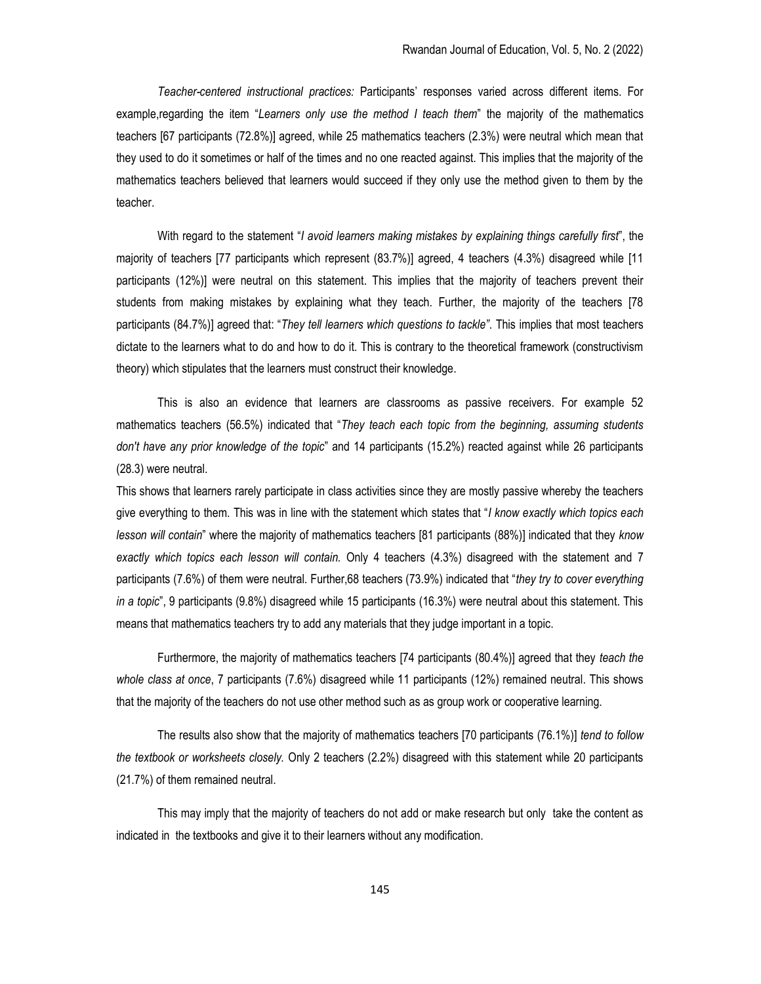Teacher-centered instructional practices: Participants' responses varied across different items. For example, regarding the item "Learners only use the method I teach them" the majority of the mathematics teachers [67 participants (72.8%)] agreed, while 25 mathematics teachers (2.3%) were neutral which mean that they used to do it sometimes or half of the times and no one reacted against. This implies that the majority of the mathematics teachers believed that learners would succeed if they only use the method given to them by the teacher.

With regard to the statement "I avoid learners making mistakes by explaining things carefully first", the majority of teachers [77 participants which represent (83.7%)] agreed, 4 teachers (4.3%) disagreed while [11 participants (12%)] were neutral on this statement. This implies that the majority of teachers prevent their students from making mistakes by explaining what they teach. Further, the majority of the teachers [78 participants (84.7%)] agreed that: "They tell learners which questions to tackle". This implies that most teachers dictate to the learners what to do and how to do it. This is contrary to the theoretical framework (constructivism theory) which stipulates that the learners must construct their knowledge.

This is also an evidence that learners are classrooms as passive receivers. For example 52 mathematics teachers (56.5%) indicated that "They teach each topic from the beginning, assuming students don't have any prior knowledge of the topic" and 14 participants (15.2%) reacted against while 26 participants (28.3) were neutral.

This shows that learners rarely participate in class activities since they are mostly passive whereby the teachers give everything to them. This was in line with the statement which states that "I know exactly which topics each lesson will contain" where the majority of mathematics teachers [81 participants (88%)] indicated that they know exactly which topics each lesson will contain. Only 4 teachers (4.3%) disagreed with the statement and 7 participants (7.6%) of them were neutral. Further,68 teachers (73.9%) indicated that "they try to cover everything in a topic", 9 participants (9.8%) disagreed while 15 participants (16.3%) were neutral about this statement. This means that mathematics teachers try to add any materials that they judge important in a topic.

Furthermore, the majority of mathematics teachers [74 participants (80.4%)] agreed that they teach the whole class at once, 7 participants (7.6%) disagreed while 11 participants (12%) remained neutral. This shows that the majority of the teachers do not use other method such as as group work or cooperative learning.

The results also show that the majority of mathematics teachers [70 participants (76.1%)] tend to follow the textbook or worksheets closely. Only 2 teachers (2.2%) disagreed with this statement while 20 participants (21.7%) of them remained neutral.

This may imply that the majority of teachers do not add or make research but only take the content as indicated in the textbooks and give it to their learners without any modification.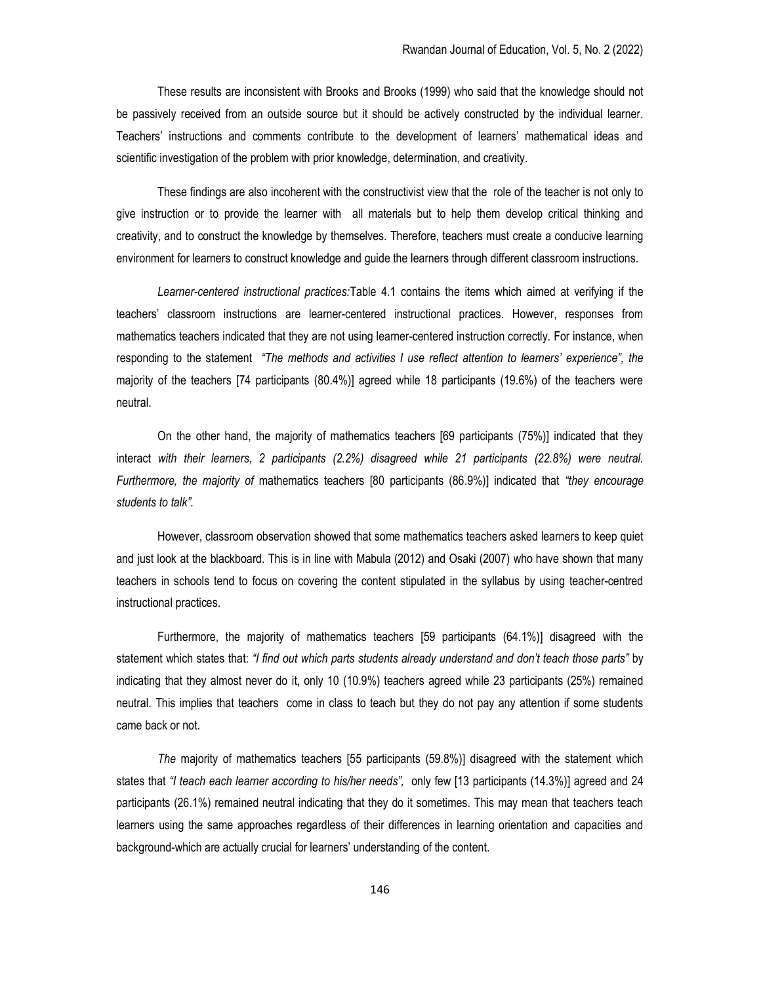These results are inconsistent with Brooks and Brooks (1999) who said that the knowledge should not be passively received from an outside source but it should be actively constructed by the individual learner. Teachers' instructions and comments contribute to the development of learners' mathematical ideas and scientific investigation of the problem with prior knowledge, determination, and creativity.

These findings are also incoherent with the constructivist view that the role of the teacher is not only to give instruction or to provide the learner with all materials but to help them develop critical thinking and creativity, and to construct the knowledge by themselves. Therefore, teachers must create a conducive learning environment for learners to construct knowledge and guide the learners through different classroom instructions.

Learner-centered instructional practices:Table 4.1 contains the items which aimed at verifying if the teachers' classroom instructions are learner-centered instructional practices. However, responses from mathematics teachers indicated that they are not using learner-centered instruction correctly. For instance, when responding to the statement "The methods and activities I use reflect attention to learners' experience", the majority of the teachers [74 participants (80.4%)] agreed while 18 participants (19.6%) of the teachers were neutral.

On the other hand, the majority of mathematics teachers [69 participants (75%)] indicated that they interact with their learners, 2 participants (2.2%) disagreed while 21 participants (22.8%) were neutral. Furthermore, the majority of mathematics teachers [80 participants (86.9%)] indicated that "they encourage students to talk".

However, classroom observation showed that some mathematics teachers asked learners to keep quiet and just look at the blackboard. This is in line with Mabula (2012) and Osaki (2007) who have shown that many teachers in schools tend to focus on covering the content stipulated in the syllabus by using teacher-centred instructional practices.

Furthermore, the majority of mathematics teachers [59 participants (64.1%)] disagreed with the statement which states that: "I find out which parts students already understand and don't teach those parts" by indicating that they almost never do it, only 10 (10.9%) teachers agreed while 23 participants (25%) remained neutral. This implies that teachers come in class to teach but they do not pay any attention if some students came back or not.

The majority of mathematics teachers [55 participants (59.8%)] disagreed with the statement which states that "I teach each learner according to his/her needs", only few [13 participants (14.3%)] agreed and 24 participants (26.1%) remained neutral indicating that they do it sometimes. This may mean that teachers teach learners using the same approaches regardless of their differences in learning orientation and capacities and background-which are actually crucial for learners' understanding of the content.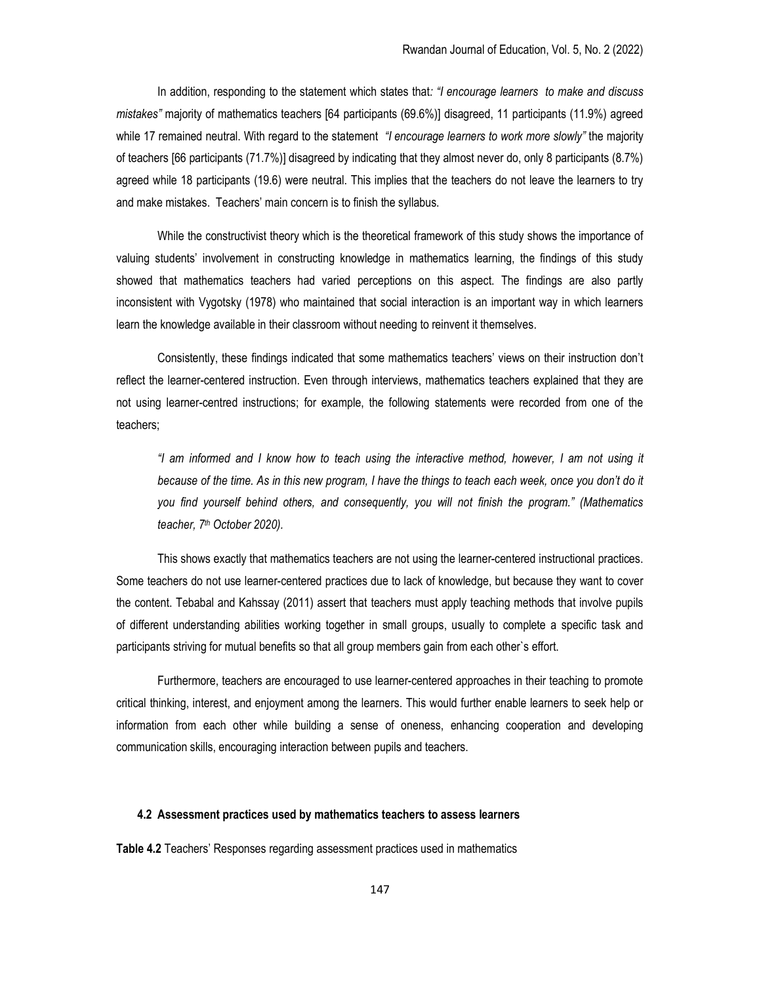In addition, responding to the statement which states that: "I encourage learners to make and discuss mistakes" majority of mathematics teachers [64 participants (69.6%)] disagreed, 11 participants (11.9%) agreed while 17 remained neutral. With regard to the statement "I encourage learners to work more slowly" the majority of teachers [66 participants (71.7%)] disagreed by indicating that they almost never do, only 8 participants (8.7%) agreed while 18 participants (19.6) were neutral. This implies that the teachers do not leave the learners to try and make mistakes. Teachers' main concern is to finish the syllabus.

While the constructivist theory which is the theoretical framework of this study shows the importance of valuing students' involvement in constructing knowledge in mathematics learning, the findings of this study showed that mathematics teachers had varied perceptions on this aspect. The findings are also partly inconsistent with Vygotsky (1978) who maintained that social interaction is an important way in which learners learn the knowledge available in their classroom without needing to reinvent it themselves.

Consistently, these findings indicated that some mathematics teachers' views on their instruction don't reflect the learner-centered instruction. Even through interviews, mathematics teachers explained that they are not using learner-centred instructions; for example, the following statements were recorded from one of the teachers;

"I am informed and I know how to teach using the interactive method, however, I am not using it because of the time. As in this new program, I have the things to teach each week, once you don't do it you find yourself behind others, and consequently, you will not finish the program." (Mathematics teacher, 7<sup>th</sup> October 2020).

This shows exactly that mathematics teachers are not using the learner-centered instructional practices. Some teachers do not use learner-centered practices due to lack of knowledge, but because they want to cover the content. Tebabal and Kahssay (2011) assert that teachers must apply teaching methods that involve pupils of different understanding abilities working together in small groups, usually to complete a specific task and participants striving for mutual benefits so that all group members gain from each other`s effort.

Furthermore, teachers are encouraged to use learner-centered approaches in their teaching to promote critical thinking, interest, and enjoyment among the learners. This would further enable learners to seek help or information from each other while building a sense of oneness, enhancing cooperation and developing communication skills, encouraging interaction between pupils and teachers.

#### 4.2 Assessment practices used by mathematics teachers to assess learners

Table 4.2 Teachers' Responses regarding assessment practices used in mathematics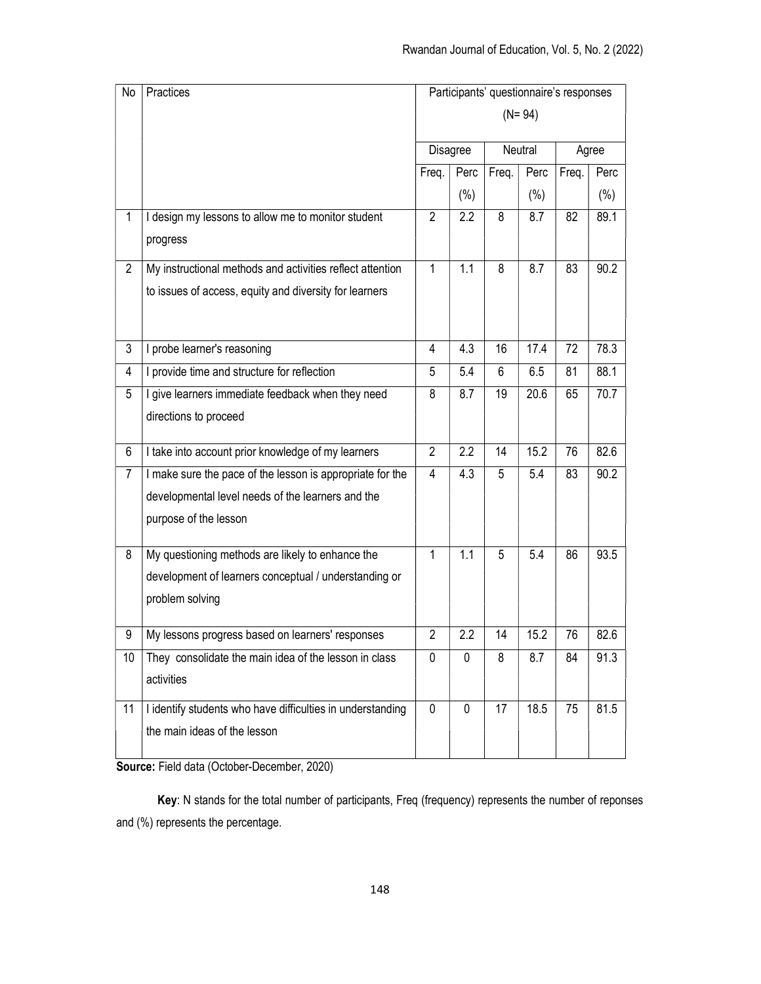| No             | Practices                                                  | Participants' questionnaire's responses |                  |         |         |       |         |
|----------------|------------------------------------------------------------|-----------------------------------------|------------------|---------|---------|-------|---------|
|                |                                                            | $(N = 94)$                              |                  |         |         |       |         |
|                |                                                            | Disagree<br>Perc<br>Freq.               |                  | Neutral |         | Agree |         |
|                |                                                            |                                         |                  | Freq.   | Perc    | Freq. | Perc    |
|                |                                                            |                                         | $(\% )$          |         | $(\% )$ |       | $(\% )$ |
| $\mathbf{1}$   | I design my lessons to allow me to monitor student         | $\overline{2}$                          | 2.2              | 8       | 8.7     | 82    | 89.1    |
|                | progress                                                   |                                         |                  |         |         |       |         |
| $\overline{2}$ | My instructional methods and activities reflect attention  | 1                                       | 1.1              | 8       | 8.7     | 83    | 90.2    |
|                | to issues of access, equity and diversity for learners     |                                         |                  |         |         |       |         |
|                |                                                            |                                         |                  |         |         |       |         |
| 3              | I probe learner's reasoning                                | 4                                       | 4.3              | 16      | 17.4    | 72    | 78.3    |
| 4              | I provide time and structure for reflection                | 5                                       | 5.4              | 6       | 6.5     | 81    | 88.1    |
| 5              | I give learners immediate feedback when they need          | 8                                       | 8.7              | 19      | 20.6    | 65    | 70.7    |
|                | directions to proceed                                      |                                         |                  |         |         |       |         |
|                |                                                            | $\overline{2}$                          | $\overline{2.2}$ | 14      | 15.2    |       |         |
| 6              | I take into account prior knowledge of my learners         |                                         |                  |         |         | 76    | 82.6    |
| $\overline{7}$ | I make sure the pace of the lesson is appropriate for the  | 4                                       | 4.3              | 5       | 5.4     | 83    | 90.2    |
|                | developmental level needs of the learners and the          |                                         |                  |         |         |       |         |
|                | purpose of the lesson                                      |                                         |                  |         |         |       |         |
| 8              | My questioning methods are likely to enhance the           | $\mathbf{1}$                            | 1.1              | 5       | 5.4     | 86    | 93.5    |
|                | development of learners conceptual / understanding or      |                                         |                  |         |         |       |         |
|                | problem solving                                            |                                         |                  |         |         |       |         |
|                |                                                            |                                         |                  |         |         |       |         |
| 9              | My lessons progress based on learners' responses           | 2                                       | 2.2              | 14      | 15.2    | 76    | 82.6    |
| 10             | They consolidate the main idea of the lesson in class      | 0                                       | 0                | 8       | 8.7     | 84    | 91.3    |
|                | activities                                                 |                                         |                  |         |         |       |         |
| 11             | I identify students who have difficulties in understanding | $\mathbf 0$                             | $\mathbf 0$      | 17      | 18.5    | 75    | 81.5    |
|                | the main ideas of the lesson                               |                                         |                  |         |         |       |         |
|                |                                                            |                                         |                  |         |         |       |         |

Source: Field data (October-December, 2020)

Key: N stands for the total number of participants, Freq (frequency) represents the number of reponses and (%) represents the percentage.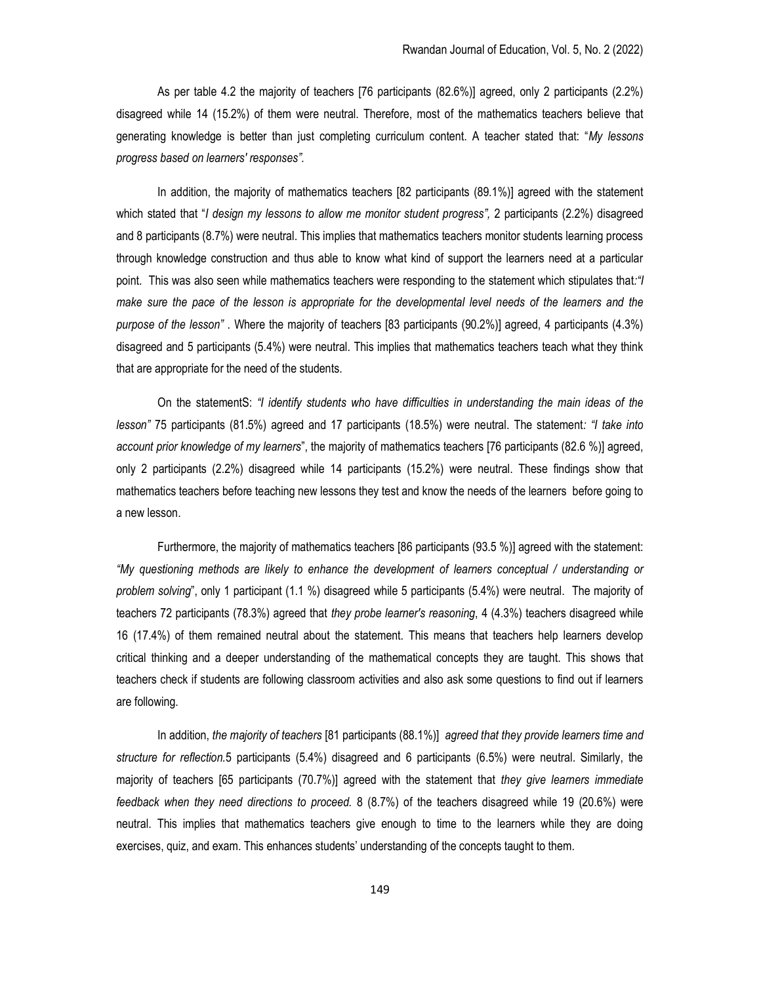As per table 4.2 the majority of teachers [76 participants (82.6%)] agreed, only 2 participants (2.2%) disagreed while 14 (15.2%) of them were neutral. Therefore, most of the mathematics teachers believe that generating knowledge is better than just completing curriculum content. A teacher stated that: "My lessons progress based on learners' responses".

In addition, the majority of mathematics teachers [82 participants (89.1%)] agreed with the statement which stated that "I design my lessons to allow me monitor student progress", 2 participants (2.2%) disagreed and 8 participants (8.7%) were neutral. This implies that mathematics teachers monitor students learning process through knowledge construction and thus able to know what kind of support the learners need at a particular point. This was also seen while mathematics teachers were responding to the statement which stipulates that:"I make sure the pace of the lesson is appropriate for the developmental level needs of the learners and the purpose of the lesson" . Where the majority of teachers [83 participants (90.2%)] agreed, 4 participants (4.3%) disagreed and 5 participants (5.4%) were neutral. This implies that mathematics teachers teach what they think that are appropriate for the need of the students.

On the statementS: "I identify students who have difficulties in understanding the main ideas of the lesson" 75 participants (81.5%) agreed and 17 participants (18.5%) were neutral. The statement: "I take into account prior knowledge of my learners", the majority of mathematics teachers [76 participants (82.6 %)] agreed, only 2 participants (2.2%) disagreed while 14 participants (15.2%) were neutral. These findings show that mathematics teachers before teaching new lessons they test and know the needs of the learners before going to a new lesson.

Furthermore, the majority of mathematics teachers [86 participants (93.5 %)] agreed with the statement: "My questioning methods are likely to enhance the development of learners conceptual / understanding or problem solving", only 1 participant (1.1 %) disagreed while 5 participants (5.4%) were neutral. The majority of teachers 72 participants (78.3%) agreed that they probe learner's reasoning, 4 (4.3%) teachers disagreed while 16 (17.4%) of them remained neutral about the statement. This means that teachers help learners develop critical thinking and a deeper understanding of the mathematical concepts they are taught. This shows that teachers check if students are following classroom activities and also ask some questions to find out if learners are following.

In addition, the majority of teachers [81 participants (88.1%)] agreed that they provide learners time and structure for reflection.5 participants (5.4%) disagreed and 6 participants (6.5%) were neutral. Similarly, the majority of teachers [65 participants (70.7%)] agreed with the statement that they give learners immediate feedback when they need directions to proceed. 8 (8.7%) of the teachers disagreed while 19 (20.6%) were neutral. This implies that mathematics teachers give enough to time to the learners while they are doing exercises, quiz, and exam. This enhances students' understanding of the concepts taught to them.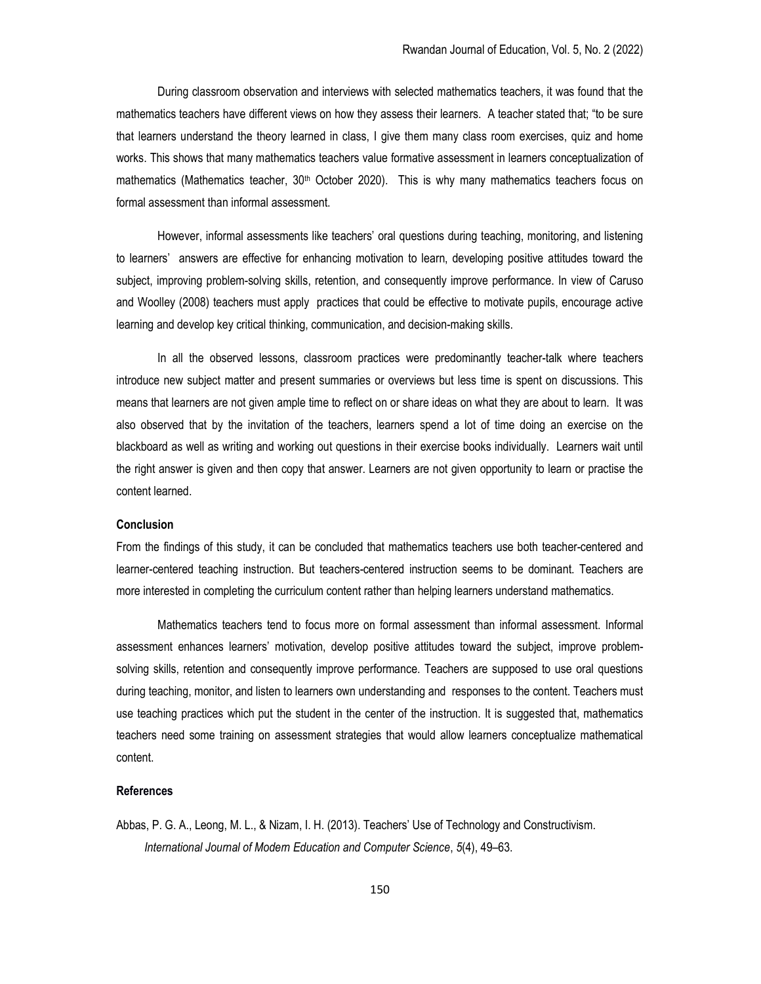During classroom observation and interviews with selected mathematics teachers, it was found that the mathematics teachers have different views on how they assess their learners. A teacher stated that; "to be sure that learners understand the theory learned in class, I give them many class room exercises, quiz and home works. This shows that many mathematics teachers value formative assessment in learners conceptualization of mathematics (Mathematics teacher, 30<sup>th</sup> October 2020). This is why many mathematics teachers focus on formal assessment than informal assessment.

However, informal assessments like teachers' oral questions during teaching, monitoring, and listening to learners' answers are effective for enhancing motivation to learn, developing positive attitudes toward the subject, improving problem-solving skills, retention, and consequently improve performance. In view of Caruso and Woolley (2008) teachers must apply practices that could be effective to motivate pupils, encourage active learning and develop key critical thinking, communication, and decision-making skills.

In all the observed lessons, classroom practices were predominantly teacher-talk where teachers introduce new subject matter and present summaries or overviews but less time is spent on discussions. This means that learners are not given ample time to reflect on or share ideas on what they are about to learn. It was also observed that by the invitation of the teachers, learners spend a lot of time doing an exercise on the blackboard as well as writing and working out questions in their exercise books individually. Learners wait until the right answer is given and then copy that answer. Learners are not given opportunity to learn or practise the content learned.

## **Conclusion**

From the findings of this study, it can be concluded that mathematics teachers use both teacher-centered and learner-centered teaching instruction. But teachers-centered instruction seems to be dominant. Teachers are more interested in completing the curriculum content rather than helping learners understand mathematics.

 Mathematics teachers tend to focus more on formal assessment than informal assessment. Informal assessment enhances learners' motivation, develop positive attitudes toward the subject, improve problemsolving skills, retention and consequently improve performance. Teachers are supposed to use oral questions during teaching, monitor, and listen to learners own understanding and responses to the content. Teachers must use teaching practices which put the student in the center of the instruction. It is suggested that, mathematics teachers need some training on assessment strategies that would allow learners conceptualize mathematical content.

## References

Abbas, P. G. A., Leong, M. L., & Nizam, I. H. (2013). Teachers' Use of Technology and Constructivism. International Journal of Modern Education and Computer Science, 5(4), 49–63.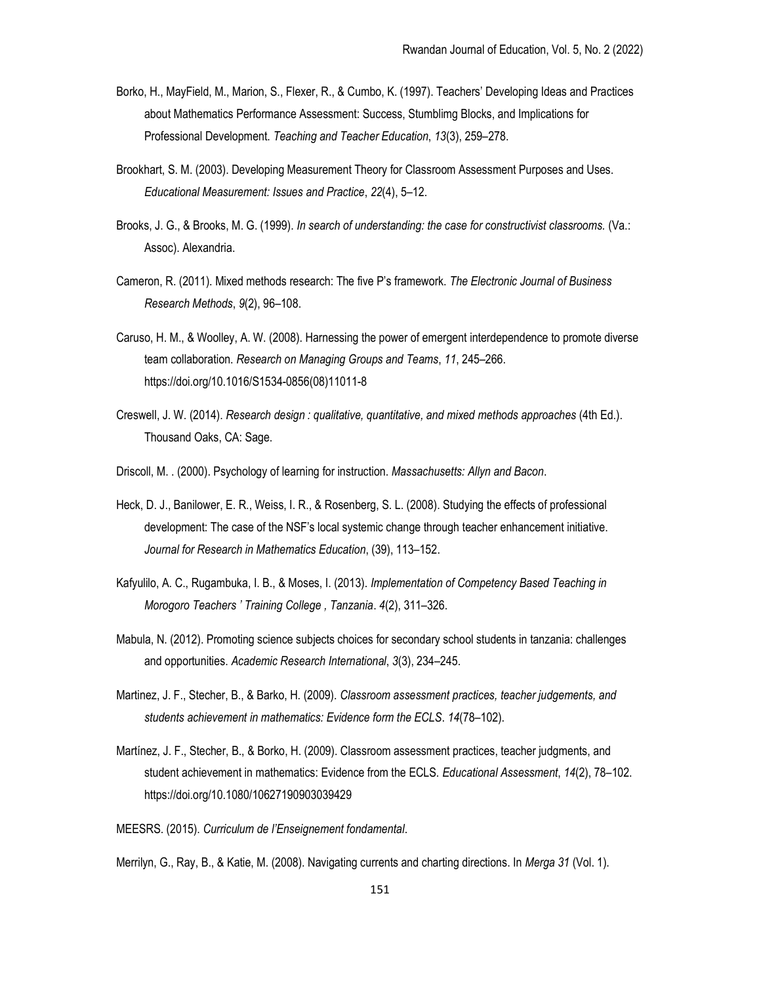- Borko, H., MayField, M., Marion, S., Flexer, R., & Cumbo, K. (1997). Teachers' Developing Ideas and Practices about Mathematics Performance Assessment: Success, Stumblimg Blocks, and Implications for Professional Development. Teaching and Teacher Education, 13(3), 259–278.
- Brookhart, S. M. (2003). Developing Measurement Theory for Classroom Assessment Purposes and Uses. Educational Measurement: Issues and Practice, 22(4), 5–12.
- Brooks, J. G., & Brooks, M. G. (1999). In search of understanding: the case for constructivist classrooms. (Va.: Assoc). Alexandria.
- Cameron, R. (2011). Mixed methods research: The five P's framework. The Electronic Journal of Business Research Methods, 9(2), 96–108.
- Caruso, H. M., & Woolley, A. W. (2008). Harnessing the power of emergent interdependence to promote diverse team collaboration. Research on Managing Groups and Teams, 11, 245–266. https://doi.org/10.1016/S1534-0856(08)11011-8
- Creswell, J. W. (2014). Research design : qualitative, quantitative, and mixed methods approaches (4th Ed.). Thousand Oaks, CA: Sage.
- Driscoll, M. . (2000). Psychology of learning for instruction. Massachusetts: Allyn and Bacon.
- Heck, D. J., Banilower, E. R., Weiss, I. R., & Rosenberg, S. L. (2008). Studying the effects of professional development: The case of the NSF's local systemic change through teacher enhancement initiative. Journal for Research in Mathematics Education, (39), 113–152.
- Kafyulilo, A. C., Rugambuka, I. B., & Moses, I. (2013). Implementation of Competency Based Teaching in Morogoro Teachers ' Training College , Tanzania. 4(2), 311–326.
- Mabula, N. (2012). Promoting science subjects choices for secondary school students in tanzania: challenges and opportunities. Academic Research International, 3(3), 234–245.
- Martinez, J. F., Stecher, B., & Barko, H. (2009). Classroom assessment practices, teacher judgements, and students achievement in mathematics: Evidence form the ECLS. 14(78–102).
- Martínez, J. F., Stecher, B., & Borko, H. (2009). Classroom assessment practices, teacher judgments, and student achievement in mathematics: Evidence from the ECLS. Educational Assessment, 14(2), 78–102. https://doi.org/10.1080/10627190903039429

MEESRS. (2015). Curriculum de l'Enseignement fondamental.

Merrilyn, G., Ray, B., & Katie, M. (2008). Navigating currents and charting directions. In Merga 31 (Vol. 1).